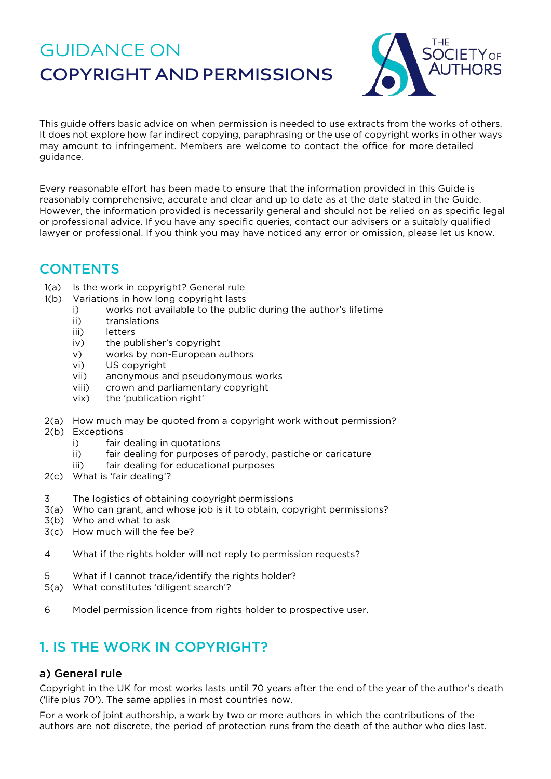# GUIDANCE ON **COPYRIGHT AND PERMISSIONS**



This guide offers basic advice on when permission is needed to use extracts from the works of others. It does not explore how far indirect copying, paraphrasing or the use of copyright works in other ways may amount to infringement. Members are welcome to contact the office for more detailed guidance.

Every reasonable effort has been made to ensure that the information provided in this Guide is reasonably comprehensive, accurate and clear and up to date as at the date stated in the Guide. However, the information provided is necessarily general and should not be relied on as specific legal or professional advice. If you have any specific queries, contact our advisers or a suitably qualified lawyer or professional. If you think you may have noticed any error or omission, please let us know.

# **CONTENTS**

- 1(a) Is the work in copyright? General rule
- 1(b) Variations in how long copyright lasts
	- i) works not available to the public during the author's lifetime
	- ii) translations
	- iii) letters
	- iv) the publisher's copyright
	- v) works by non-European authors
	- vi) US copyright
	- vii) anonymous and pseudonymous works
	- viii) crown and parliamentary copyright
	- vix) the 'publication right'
- 2(a) How much may be quoted from a copyright work without permission?
- 2(b) Exceptions
	- i) fair dealing in quotations
	- ii) fair dealing for purposes of parody, pastiche or caricature
	- iii) fair dealing for educational purposes
- 2(c) What is 'fair dealing'?
- 3 The logistics of obtaining copyright permissions
- 3(a) Who can grant, and whose job is it to obtain, copyright permissions?
- 3(b) Who and what to ask
- 3(c) How much will the fee be?
- 4 What if the rights holder will not reply to permission requests?
- 5 What if I cannot trace/identify the rights holder?
- 5(a) What constitutes 'diligent search'?
- 6 Model permission licence from rights holder to prospective user.

# 1. IS THE WORK IN COPYRIGHT?

# a) General rule

Copyright in the UK for most works lasts until 70 years after the end of the year of the author's death ('life plus 70'). The same applies in most countries now.

For a work of joint authorship, a work by two or more authors in which the contributions of the authors are not discrete, the period of protection runs from the death of the author who dies last.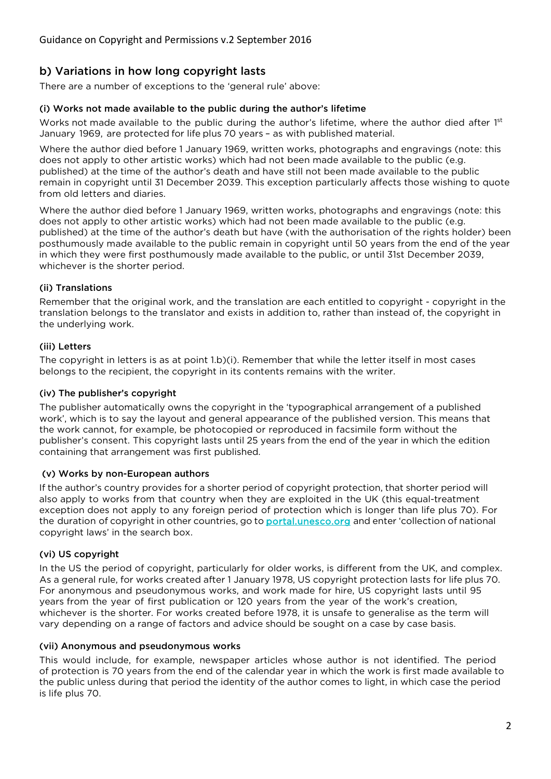# b) Variations in how long copyright lasts

There are a number of exceptions to the 'general rule' above:

#### (i) Works not made available to the public during the author's lifetime

Works not made available to the public during the author's lifetime, where the author died after 1st January 1969, are protected for life plus 70 years – as with published material.

Where the author died before 1 January 1969, written works, photographs and engravings (note: this does not apply to other artistic works) which had not been made available to the public (e.g. published) at the time of the author's death and have still not been made available to the public remain in copyright until 31 December 2039. This exception particularly affects those wishing to quote from old letters and diaries.

Where the author died before 1 January 1969, written works, photographs and engravings (note: this does not apply to other artistic works) which had not been made available to the public (e.g. published) at the time of the author's death but have (with the authorisation of the rights holder) been posthumously made available to the public remain in copyright until 50 years from the end of the year in which they were first posthumously made available to the public, or until 31st December 2039, whichever is the shorter period.

#### (ii) Translations

Remember that the original work, and the translation are each entitled to copyright - copyright in the translation belongs to the translator and exists in addition to, rather than instead of, the copyright in the underlying work.

#### (iii) Letters

The copyright in letters is as at point 1.b)(i). Remember that while the letter itself in most cases belongs to the recipient, the copyright in its contents remains with the writer.

#### (iv) The publisher's copyright

The publisher automatically owns the copyright in the 'typographical arrangement of a published work', which is to say the layout and general appearance of the published version. This means that the work cannot, for example, be photocopied or reproduced in facsimile form without the publisher's consent. This copyright lasts until 25 years from the end of the year in which the edition containing that arrangement was first published.

#### (v) Works by non-European authors

If the author's country provides for a shorter period of copyright protection, that shorter period will also apply to works from that country when they are exploited in the UK (this equal-treatment exception does not apply to any foreign period of protection which is longer than life plus 70). For the duration of copyright in other countries, go t[o portal.unesco.org](http://portal.unesco.org/) and enter 'collection of national copyright laws' in the search box.

### (vi) US copyright

In the US the period of copyright, particularly for older works, is different from the UK, and complex. As a general rule, for works created after 1 January 1978, US copyright protection lasts for life plus 70. For anonymous and pseudonymous works, and work made for hire, US copyright lasts until 95 years from the year of first publication or 120 years from the year of the work's creation, whichever is the shorter. For works created before 1978, it is unsafe to generalise as the term will vary depending on a range of factors and advice should be sought on a case by case basis.

#### (vii) Anonymous and pseudonymous works

This would include, for example, newspaper articles whose author is not identified. The period of protection is 70 years from the end of the calendar year in which the work is first made available to the public unless during that period the identity of the author comes to light, in which case the period is life plus 70.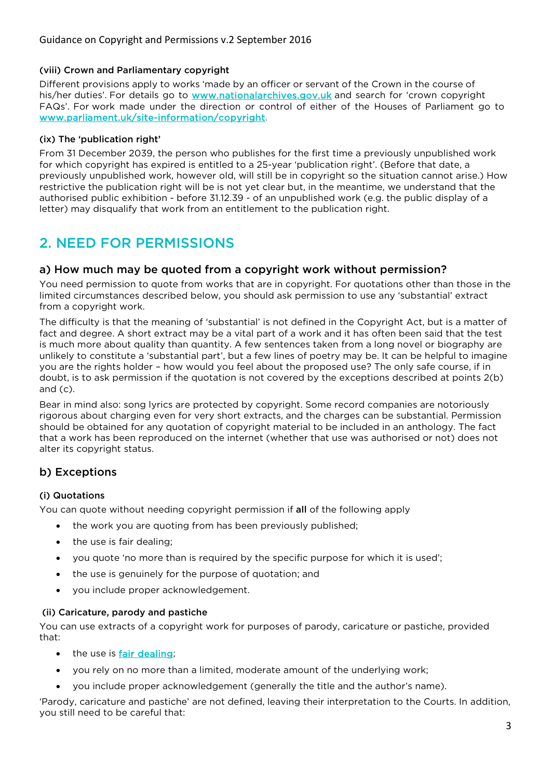#### (viii) Crown and Parliamentary copyright

Different provisions apply to works 'made by an officer or servant of the Crown in the course of his/her duties'. For details go to [www.nationalarchives.gov.uk](http://www.nationalarchives.gov.uk/) and search for 'crown copyright FAQs'. For work made under the direction or control of either of the Houses of Parliament go to [www.parliament.uk/site-information/copyright.](http://www.parliament.uk/site-information/copyright)

#### (ix) The 'publication right'

From 31 December 2039, the person who publishes for the first time a previously unpublished work for which copyright has expired is entitled to a 25-year 'publication right'. (Before that date, a previously unpublished work, however old, will still be in copyright so the situation cannot arise.) How restrictive the publication right will be is not yet clear but, in the meantime, we understand that the authorised public exhibition - before 31.12.39 - of an unpublished work (e.g. the public display of a letter) may disqualify that work from an entitlement to the publication right.

# 2. NEED FOR PERMISSIONS

### a) How much may be quoted from a copyright work without permission?

You need permission to quote from works that are in copyright. For quotations other than those in the limited circumstances described below, you should ask permission to use any 'substantial' extract from a copyright work.

The difficulty is that the meaning of 'substantial' is not defined in the Copyright Act, but is a matter of fact and degree. A short extract may be a vital part of a work and it has often been said that the test is much more about quality than quantity. A few sentences taken from a long novel or biography are unlikely to constitute a 'substantial part', but a few lines of poetry may be. It can be helpful to imagine you are the rights holder – how would you feel about the proposed use? The only safe course, if in doubt, is to ask permission if the quotation is not covered by the exceptions described at points 2(b) and (c).

Bear in mind also: song lyrics are protected by copyright. Some record companies are notoriously rigorous about charging even for very short extracts, and the charges can be substantial. Permission should be obtained for any quotation of copyright material to be included in an anthology. The fact that a work has been reproduced on the internet (whether that use was authorised or not) does not alter its copyright status.

# b) Exceptions

### (i) Quotations

You can quote without needing copyright permission if all of the following apply

- the work you are quoting from has been previously published;
- the use is fair dealing;
- you quote 'no more than is required by the specific purpose for which it is used';
- the use is genuinely for the purpose of quotation; and
- you include proper acknowledgement.

#### (ii) Caricature, parody and pastiche

You can use extracts of a copyright work for purposes of parody, caricature or pastiche, provided that:

- the use is [fair dealing;](#page-3-0)
- you rely on no more than a limited, moderate amount of the underlying work;
- you include proper acknowledgement (generally the title and the author's name).

'Parody, caricature and pastiche' are not defined, leaving their interpretation to the Courts. In addition, you still need to be careful that: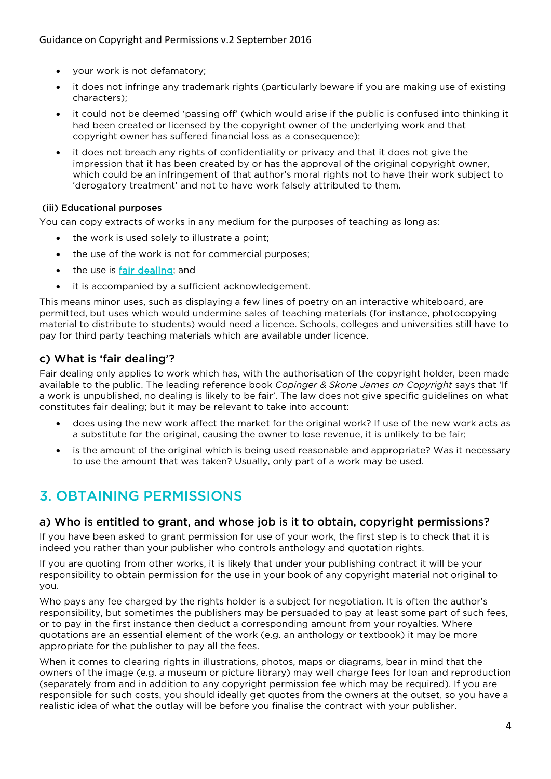- your work is not defamatory;
- it does not infringe any trademark rights (particularly beware if you are making use of existing characters);
- it could not be deemed 'passing off' (which would arise if the public is confused into thinking it had been created or licensed by the copyright owner of the underlying work and that copyright owner has suffered financial loss as a consequence);
- it does not breach any rights of confidentiality or privacy and that it does not give the impression that it has been created by or has the approval of the original copyright owner, which could be an infringement of that author's moral rights not to have their work subject to 'derogatory treatment' and not to have work falsely attributed to them.

#### (iii) Educational purposes

You can copy extracts of works in any medium for the purposes of teaching as long as:

- the work is used solely to illustrate a point;
- the use of the work is not for commercial purposes;
- the use is [fair dealing;](#page-3-0) and
- it is accompanied by a sufficient acknowledgement.

This means minor uses, such as displaying a few lines of poetry on an interactive whiteboard, are permitted, but uses which would undermine sales of teaching materials (for instance, photocopying material to distribute to students) would need a licence. Schools, colleges and universities still have to pay for third party teaching materials which are available under licence.

### <span id="page-3-0"></span>c) What is 'fair dealing'?

Fair dealing only applies to work which has, with the authorisation of the copyright holder, been made available to the public. The leading reference book *Copinger & Skone James on Copyright* says that 'If a work is unpublished, no dealing is likely to be fair'. The law does not give specific guidelines on what constitutes fair dealing; but it may be relevant to take into account:

- does using the new work affect the market for the original work? If use of the new work acts as a substitute for the original, causing the owner to lose revenue, it is unlikely to be fair;
- is the amount of the original which is being used reasonable and appropriate? Was it necessary to use the amount that was taken? Usually, only part of a work may be used.

# 3. OBTAINING PERMISSIONS

### a) Who is entitled to grant, and whose job is it to obtain, copyright permissions?

If you have been asked to grant permission for use of your work, the first step is to check that it is indeed you rather than your publisher who controls anthology and quotation rights.

If you are quoting from other works, it is likely that under your publishing contract it will be your responsibility to obtain permission for the use in your book of any copyright material not original to you.

Who pays any fee charged by the rights holder is a subject for negotiation. It is often the author's responsibility, but sometimes the publishers may be persuaded to pay at least some part of such fees, or to pay in the first instance then deduct a corresponding amount from your royalties. Where quotations are an essential element of the work (e.g. an anthology or textbook) it may be more appropriate for the publisher to pay all the fees.

When it comes to clearing rights in illustrations, photos, maps or diagrams, bear in mind that the owners of the image (e.g. a museum or picture library) may well charge fees for loan and reproduction (separately from and in addition to any copyright permission fee which may be required). If you are responsible for such costs, you should ideally get quotes from the owners at the outset, so you have a realistic idea of what the outlay will be before you finalise the contract with your publisher.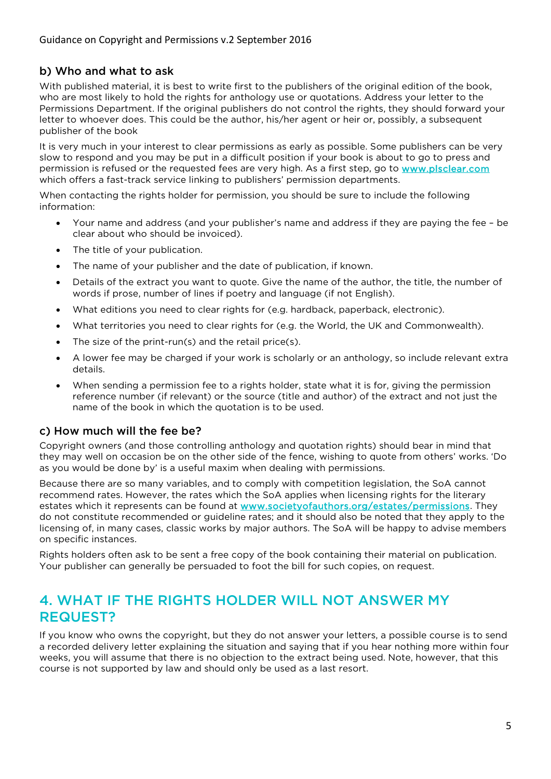# b) Who and what to ask

With published material, it is best to write first to the publishers of the original edition of the book, who are most likely to hold the rights for anthology use or quotations. Address your letter to the Permissions Department. If the original publishers do not control the rights, they should forward your letter to whoever does. This could be the author, his/her agent or heir or, possibly, a subsequent publisher of the book

It is very much in your interest to clear permissions as early as possible. Some publishers can be very slow to respond and you may be put in a difficult position if your book is about to go to press and permission is refused or the requested fees are very high. As a first step, go to [www.plsclear.com](http://www.plsclear.com/) which offers a fast-track service linking to publishers' permission departments.

When contacting the rights holder for permission, you should be sure to include the following information:

- Your name and address (and your publisher's name and address if they are paying the fee be clear about who should be invoiced).
- The title of your publication.
- The name of your publisher and the date of publication, if known.
- Details of the extract you want to quote. Give the name of the author, the title, the number of words if prose, number of lines if poetry and language (if not English).
- What editions you need to clear rights for (e.g. hardback, paperback, electronic).
- What territories you need to clear rights for (e.g. the World, the UK and Commonwealth).
- The size of the print-run(s) and the retail price(s).
- A lower fee may be charged if your work is scholarly or an anthology, so include relevant extra details.
- When sending a permission fee to a rights holder, state what it is for, giving the permission reference number (if relevant) or the source (title and author) of the extract and not just the name of the book in which the quotation is to be used.

### c) How much will the fee be?

Copyright owners (and those controlling anthology and quotation rights) should bear in mind that they may well on occasion be on the other side of the fence, wishing to quote from others' works. 'Do as you would be done by' is a useful maxim when dealing with permissions.

Because there are so many variables, and to comply with competition legislation, the SoA cannot recommend rates. However, the rates which the SoA applies when licensing rights for the literary estates which it represents can be found at [www.societyofauthors.org/estates/permissions.](http://www.societyofauthors.org/estates/permissions) They do not constitute recommended or guideline rates; and it should also be noted that they apply to the licensing of, in many cases, classic works by major authors. The SoA will be happy to advise members on specific instances.

Rights holders often ask to be sent a free copy of the book containing their material on publication. Your publisher can generally be persuaded to foot the bill for such copies, on request.

# 4. WHAT IF THE RIGHTS HOLDER WILL NOT ANSWER MY REQUEST?

If you know who owns the copyright, but they do not answer your letters, a possible course is to send a recorded delivery letter explaining the situation and saying that if you hear nothing more within four weeks, you will assume that there is no objection to the extract being used. Note, however, that this course is not supported by law and should only be used as a last resort.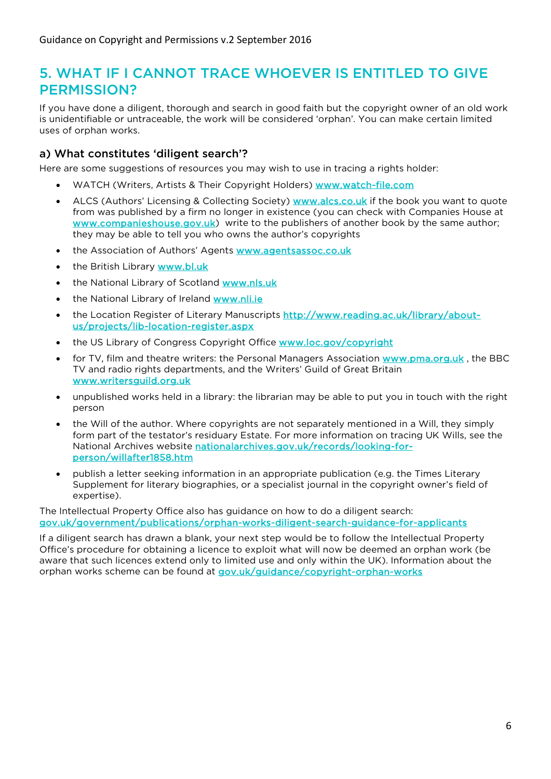# 5. WHAT IF I CANNOT TRACE WHOEVER IS ENTITI ED TO GIVE PERMISSION?

If you have done a diligent, thorough and search in good faith but the copyright owner of an old work is unidentifiable or untraceable, the work will be considered 'orphan'. You can make certain limited uses of orphan works.

### a) What constitutes 'diligent search'?

Here are some suggestions of resources you may wish to use in tracing a rights holder:

- WATCH (Writers, Artists & Their Copyright Holders) [www.watch-file.com](http://www.watch-file.com/)
- ALCS (Authors' Licensing & Collecting Society) [www.alcs.co.uk](http://www.alcs.co.uk/) if the book you want to quote from was published by a firm no longer in existence (you can check with Companies House at [www.companieshouse.gov.uk\)](http://www.companieshouse.gov.uk/) write to the publishers of another book by the same author; they may be able to tell you who owns the author's copyrights
- the Association of Authors' Agents www.agentsassoc.co.uk
- the British Library www.bl.uk
- the National Library of Scotland www.nls.uk
- the National Library of Ireland [www.nli.ie](http://www.nli.ie/)
- the Location Register of Literary Manuscripts [http://www.reading.ac.uk/library/about](http://www.reading.ac.uk/library/about-us/projects/lib-location-register.aspx)[us/projects/lib-location-register.aspx](http://www.reading.ac.uk/library/about-us/projects/lib-location-register.aspx)
- the US Library of Congress Copyright Office [www.loc.gov/copyright](http://www.loc.gov/copyright)
- for TV, film and theatre writers: the Personal Managers Association [www.pma.org.uk](http://www.pma.org.uk/), the BBC TV and radio rights departments, and the Writers' Guild of Great Britain [www.writersguild.org.uk](http://www.writersguild.org.uk/)
- unpublished works held in a library: the librarian may be able to put you in touch with the right person
- the Will of the author. Where copyrights are not separately mentioned in a Will, they simply form part of the testator's residuary Estate. For more information on tracing UK Wills, see the National Archives website [nationalarchives.gov.uk/records/looking-for](http://nationalarchives.gov.uk/records/looking-for-person/willafter1858.htm)[person/willafter1858.htm](http://nationalarchives.gov.uk/records/looking-for-person/willafter1858.htm)
- publish a letter seeking information in an appropriate publication (e.g. the Times Literary Supplement for literary biographies, or a specialist journal in the copyright owner's field of expertise).

The Intellectual Property Office also has guidance on how to do a diligent search: [gov.uk/government/publications/orphan-works-diligent-search-guidance-for-applicants](https://www.gov.uk/government/publications/orphan-works-diligent-search-guidance-for-applicants) 

If a diligent search has drawn a blank, your next step would be to follow the Intellectual Property Office's procedure for obtaining a licence to exploit what will now be deemed an orphan work (be aware that such licences extend only to limited use and only within the UK). Information about the orphan works scheme can be found at gov.uk/guidance/copyright-orphan-works